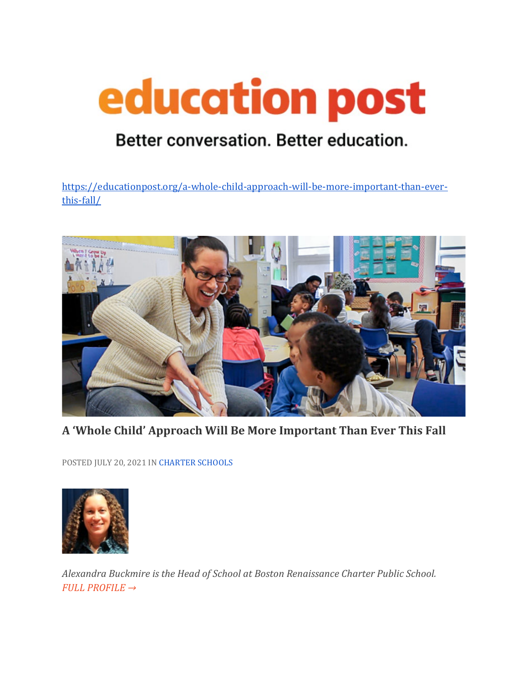## education post

## Better conversation. Better education.

[https://educationpost.org/a-whole-child-approach-will-be-more-important-than-ever](https://educationpost.org/a-whole-child-approach-will-be-more-important-than-ever-this-fall/)[this-fall/](https://educationpost.org/a-whole-child-approach-will-be-more-important-than-ever-this-fall/)



**A 'Whole Child' Approach Will Be More Important Than Ever This Fall**

POSTED JULY 20, 2021 I[N CHARTER SCHOOLS](https://educationpost.org/conversation/blog/charter-schools/)



*Alexandra Buckmire is the Head of School at Boston Renaissance Charter Public School. [FULL PROFILE →](https://educationpost.org/network/alexandra-buckmire/)*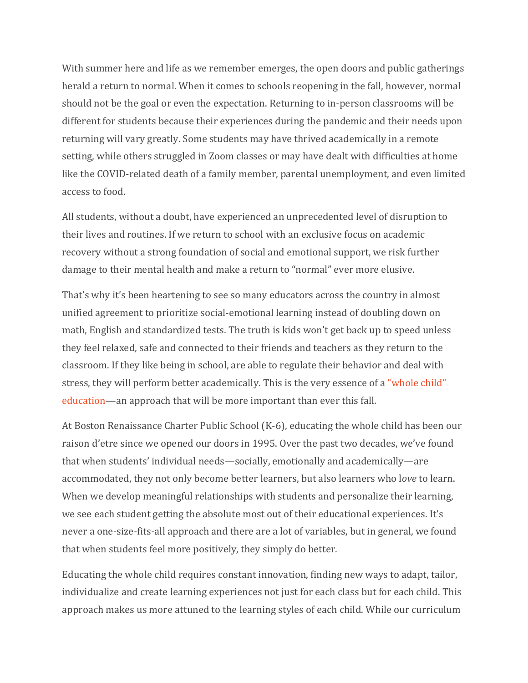With summer here and life as we remember emerges, the open doors and public gatherings herald a return to normal. When it comes to schools reopening in the fall, however, normal should not be the goal or even the expectation. Returning to in-person classrooms will be different for students because their experiences during the pandemic and their needs upon returning will vary greatly. Some students may have thrived academically in a remote setting, while others struggled in Zoom classes or may have dealt with difficulties at home like the COVID-related death of a family member, parental unemployment, and even limited access to food.

All students, without a doubt, have experienced an unprecedented level of disruption to their lives and routines. If we return to school with an exclusive focus on academic recovery without a strong foundation of social and emotional support, we risk further damage to their mental health and make a return to "normal" ever more elusive.

That's why it's been heartening to see so many educators across the country in almost unified agreement to prioritize social-emotional learning instead of doubling down on math, English and standardized tests. The truth is kids won't get back up to speed unless they feel relaxed, safe and connected to their friends and teachers as they return to the classroom. If they like being in school, are able to regulate their behavior and deal with stress, they will perform better academically. This is the very essence of a ["whole child"](https://learningpolicyinstitute.org/issue/whole-child-education)  [education—](https://learningpolicyinstitute.org/issue/whole-child-education)an approach that will be more important than ever this fall.

At Boston Renaissance Charter Public School (K-6), educating the whole child has been our raison d'etre since we opened our doors in 1995. Over the past two decades, we've found that when students' individual needs—socially, emotionally and academically—are accommodated, they not only become better learners, but also learners who l*ove* to learn. When we develop meaningful relationships with students and personalize their learning, we see each student getting the absolute most out of their educational experiences. It's never a one-size-fits-all approach and there are a lot of variables, but in general, we found that when students feel more positively, they simply do better.

Educating the whole child requires constant innovation, finding new ways to adapt, tailor, individualize and create learning experiences not just for each class but for each child. This approach makes us more attuned to the learning styles of each child. While our curriculum